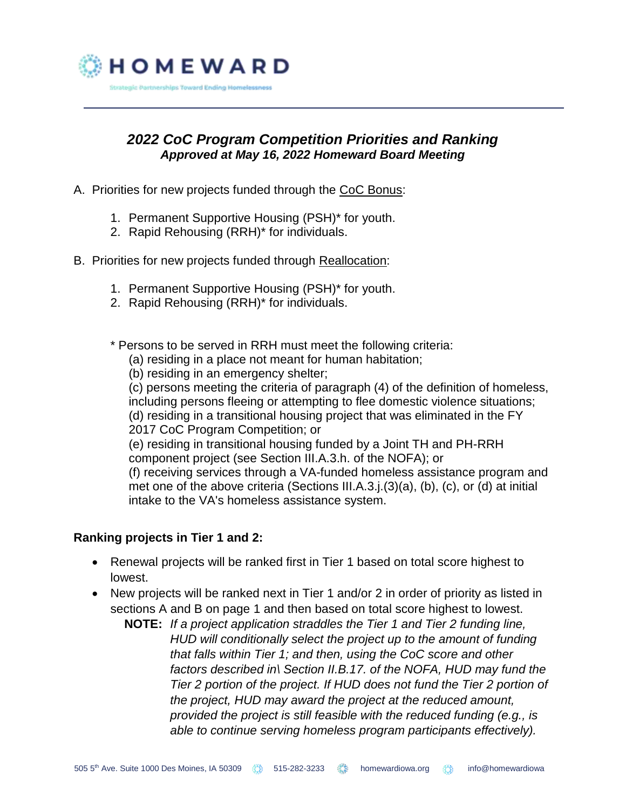

## *2022 CoC Program Competition Priorities and Ranking Approved at May 16, 2022 Homeward Board Meeting*

- A. Priorities for new projects funded through the CoC Bonus:
	- 1. Permanent Supportive Housing (PSH)\* for youth.
	- 2. Rapid Rehousing (RRH)\* for individuals.
- B. Priorities for new projects funded through Reallocation:
	- 1. Permanent Supportive Housing (PSH)\* for youth.
	- 2. Rapid Rehousing (RRH)\* for individuals.

\* Persons to be served in RRH must meet the following criteria:

- (a) residing in a place not meant for human habitation;
- (b) residing in an emergency shelter;

(c) persons meeting the criteria of paragraph (4) of the definition of homeless, including persons fleeing or attempting to flee domestic violence situations; (d) residing in a transitional housing project that was eliminated in the FY

2017 CoC Program Competition; or

(e) residing in transitional housing funded by a Joint TH and PH-RRH component project (see Section III.A.3.h. of the NOFA); or

(f) receiving services through a VA-funded homeless assistance program and met one of the above criteria (Sections III.A.3.j.(3)(a), (b), (c), or (d) at initial intake to the VA's homeless assistance system.

## **Ranking projects in Tier 1 and 2:**

- Renewal projects will be ranked first in Tier 1 based on total score highest to lowest.
- New projects will be ranked next in Tier 1 and/or 2 in order of priority as listed in sections A and B on page 1 and then based on total score highest to lowest.
	- **NOTE:** *If a project application straddles the Tier 1 and Tier 2 funding line, HUD will conditionally select the project up to the amount of funding that falls within Tier 1; and then, using the CoC score and other factors described in\ Section II.B.17. of the NOFA, HUD may fund the Tier 2 portion of the project. If HUD does not fund the Tier 2 portion of the project, HUD may award the project at the reduced amount, provided the project is still feasible with the reduced funding (e.g., is able to continue serving homeless program participants effectively).*